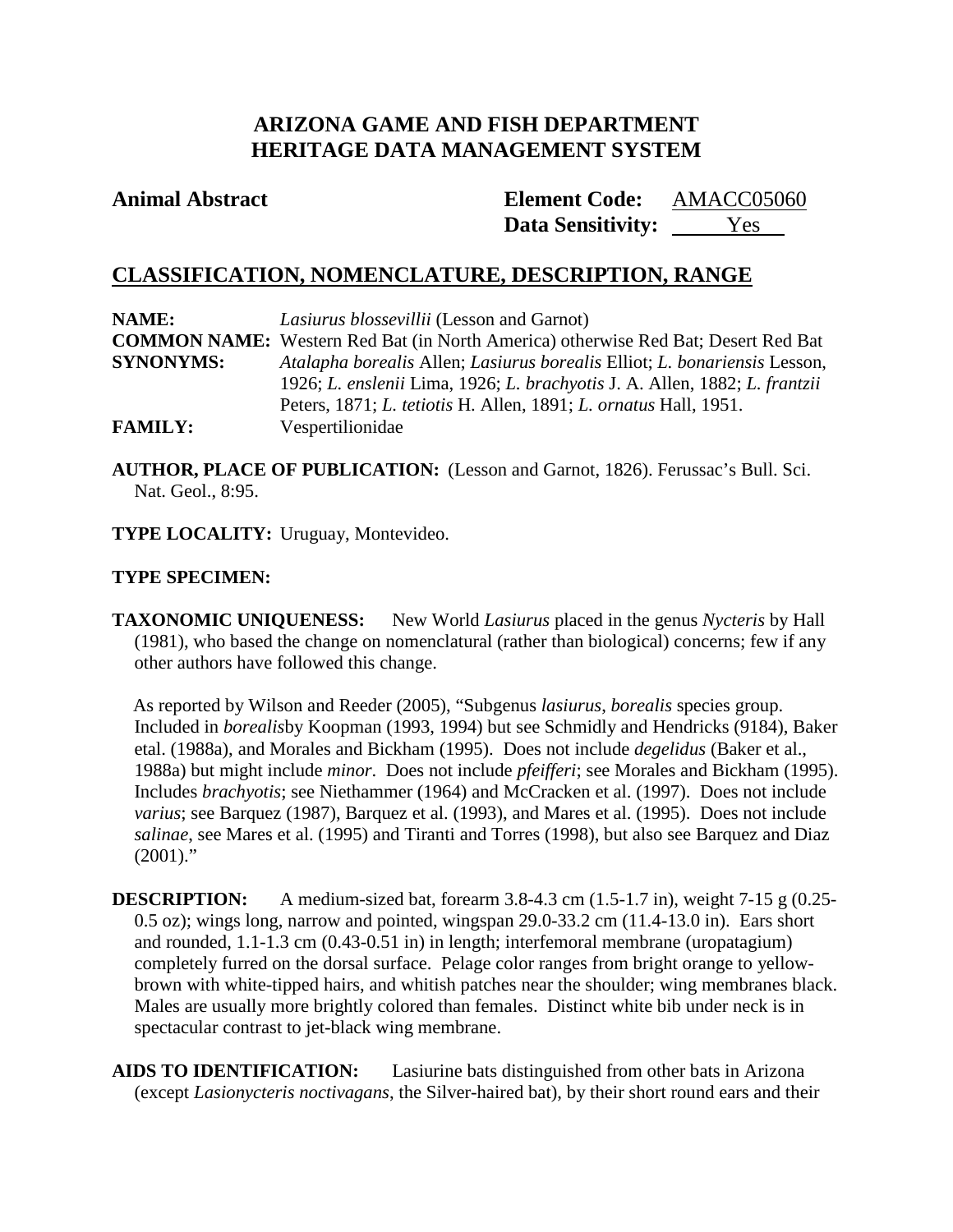# **ARIZONA GAME AND FISH DEPARTMENT HERITAGE DATA MANAGEMENT SYSTEM**

### **Animal Abstract Element Code:**

**Data Sensitivity:** Yes AMACC05060

# **CLASSIFICATION, NOMENCLATURE, DESCRIPTION, RANGE**

| NAME:            | <i>Lasiurus blossevillii</i> (Lesson and Garnot)                                         |
|------------------|------------------------------------------------------------------------------------------|
|                  | <b>COMMON NAME:</b> Western Red Bat (in North America) otherwise Red Bat; Desert Red Bat |
| <b>SYNONYMS:</b> | Atalapha borealis Allen; Lasiurus borealis Elliot; L. bonariensis Lesson,                |
|                  | 1926; L. enslenii Lima, 1926; L. brachyotis J. A. Allen, 1882; L. frantzii               |
|                  | Peters, 1871; <i>L. tetiotis</i> H. Allen, 1891; <i>L. ornatus</i> Hall, 1951.           |
| <b>FAMILY:</b>   | Vespertilionidae                                                                         |

**AUTHOR, PLACE OF PUBLICATION:** (Lesson and Garnot, 1826). Ferussac's Bull. Sci. Nat. Geol., 8:95.

**TYPE LOCALITY:** Uruguay, Montevideo.

### **TYPE SPECIMEN:**

**TAXONOMIC UNIQUENESS:** New World *Lasiurus* placed in the genus *Nycteris* by Hall (1981), who based the change on nomenclatural (rather than biological) concerns; few if any other authors have followed this change.

As reported by Wilson and Reeder (2005), "Subgenus *lasiurus*, *borealis* species group. Included in *borealis*by Koopman (1993, 1994) but see Schmidly and Hendricks (9184), Baker etal. (1988a), and Morales and Bickham (1995). Does not include *degelidus* (Baker et al., 1988a) but might include *minor*. Does not include *pfeifferi*; see Morales and Bickham (1995). Includes *brachyotis*; see Niethammer (1964) and McCracken et al. (1997). Does not include *varius*; see Barquez (1987), Barquez et al. (1993), and Mares et al. (1995). Does not include *salinae*, see Mares et al. (1995) and Tiranti and Torres (1998), but also see Barquez and Diaz  $(2001)$ ."

**DESCRIPTION:** A medium-sized bat, forearm  $3.8-4.3$  cm  $(1.5-1.7)$  in), weight  $7-15$  g  $(0.25-1.7)$ 0.5 oz); wings long, narrow and pointed, wingspan 29.0-33.2 cm (11.4-13.0 in). Ears short and rounded, 1.1-1.3 cm (0.43-0.51 in) in length; interfemoral membrane (uropatagium) completely furred on the dorsal surface. Pelage color ranges from bright orange to yellowbrown with white-tipped hairs, and whitish patches near the shoulder; wing membranes black. Males are usually more brightly colored than females. Distinct white bib under neck is in spectacular contrast to jet-black wing membrane.

**AIDS TO IDENTIFICATION:** Lasiurine bats distinguished from other bats in Arizona (except *Lasionycteris noctivagans*, the Silver-haired bat), by their short round ears and their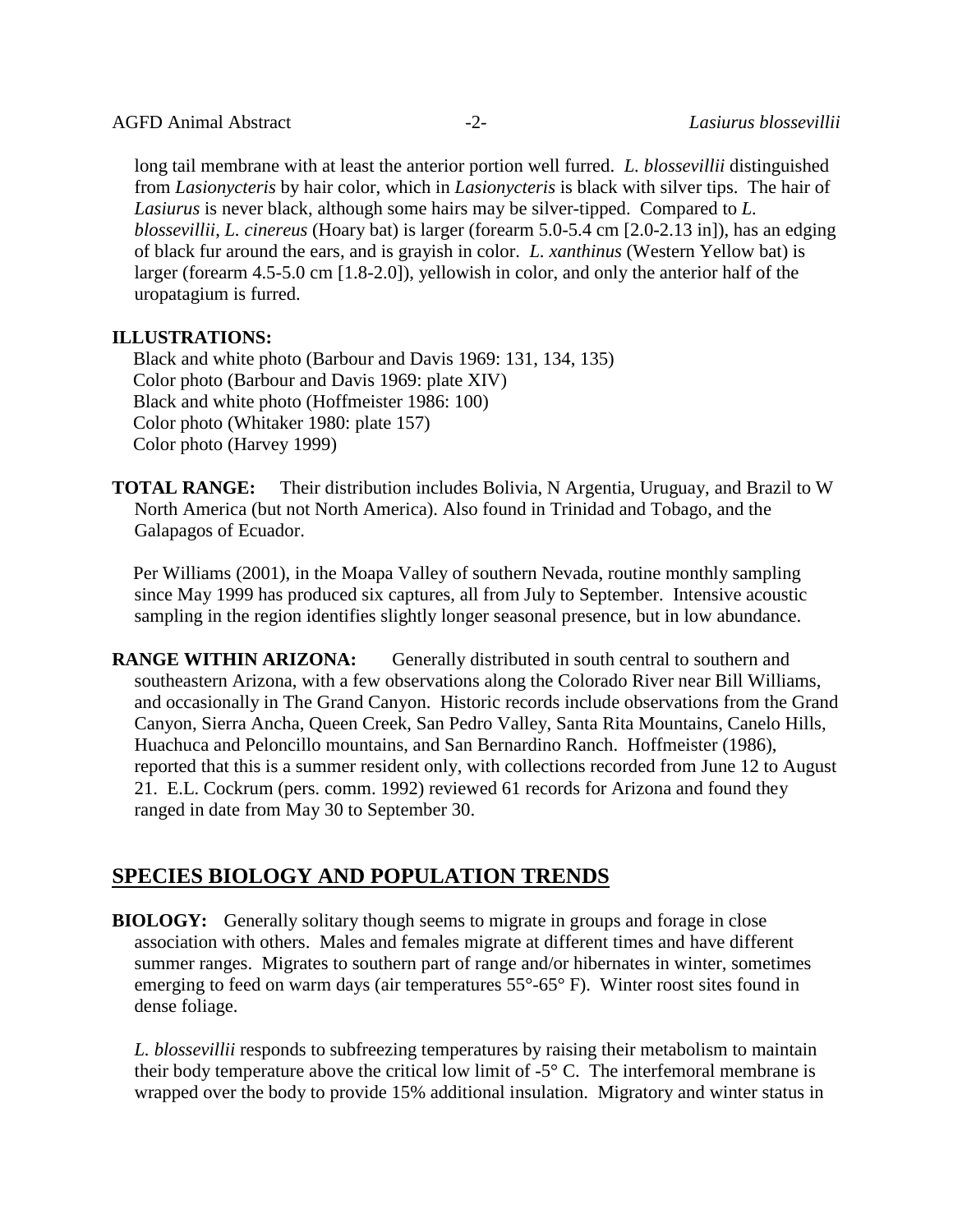long tail membrane with at least the anterior portion well furred. *L. blossevillii* distinguished from *Lasionycteris* by hair color, which in *Lasionycteris* is black with silver tips. The hair of *Lasiurus* is never black, although some hairs may be silver-tipped. Compared to *L. blossevillii*, *L. cinereus* (Hoary bat) is larger (forearm 5.0-5.4 cm [2.0-2.13 in]), has an edging of black fur around the ears, and is grayish in color. *L. xanthinus* (Western Yellow bat) is larger (forearm 4.5-5.0 cm [1.8-2.0]), yellowish in color, and only the anterior half of the uropatagium is furred.

#### **ILLUSTRATIONS:**

Black and white photo (Barbour and Davis 1969: 131, 134, 135) Color photo (Barbour and Davis 1969: plate XIV) Black and white photo (Hoffmeister 1986: 100) Color photo (Whitaker 1980: plate 157) Color photo (Harvey 1999)

**TOTAL RANGE:** Their distribution includes Bolivia, N Argentia, Uruguay, and Brazil to W North America (but not North America). Also found in Trinidad and Tobago, and the Galapagos of Ecuador.

Per Williams (2001), in the Moapa Valley of southern Nevada, routine monthly sampling since May 1999 has produced six captures, all from July to September. Intensive acoustic sampling in the region identifies slightly longer seasonal presence, but in low abundance.

**RANGE WITHIN ARIZONA:** Generally distributed in south central to southern and southeastern Arizona, with a few observations along the Colorado River near Bill Williams, and occasionally in The Grand Canyon. Historic records include observations from the Grand Canyon, Sierra Ancha, Queen Creek, San Pedro Valley, Santa Rita Mountains, Canelo Hills, Huachuca and Peloncillo mountains, and San Bernardino Ranch. Hoffmeister (1986), reported that this is a summer resident only, with collections recorded from June 12 to August 21. E.L. Cockrum (pers. comm. 1992) reviewed 61 records for Arizona and found they ranged in date from May 30 to September 30.

## **SPECIES BIOLOGY AND POPULATION TRENDS**

**BIOLOGY:** Generally solitary though seems to migrate in groups and forage in close association with others. Males and females migrate at different times and have different summer ranges. Migrates to southern part of range and/or hibernates in winter, sometimes emerging to feed on warm days (air temperatures 55°-65° F). Winter roost sites found in dense foliage.

*L. blossevillii* responds to subfreezing temperatures by raising their metabolism to maintain their body temperature above the critical low limit of -5° C. The interfemoral membrane is wrapped over the body to provide 15% additional insulation. Migratory and winter status in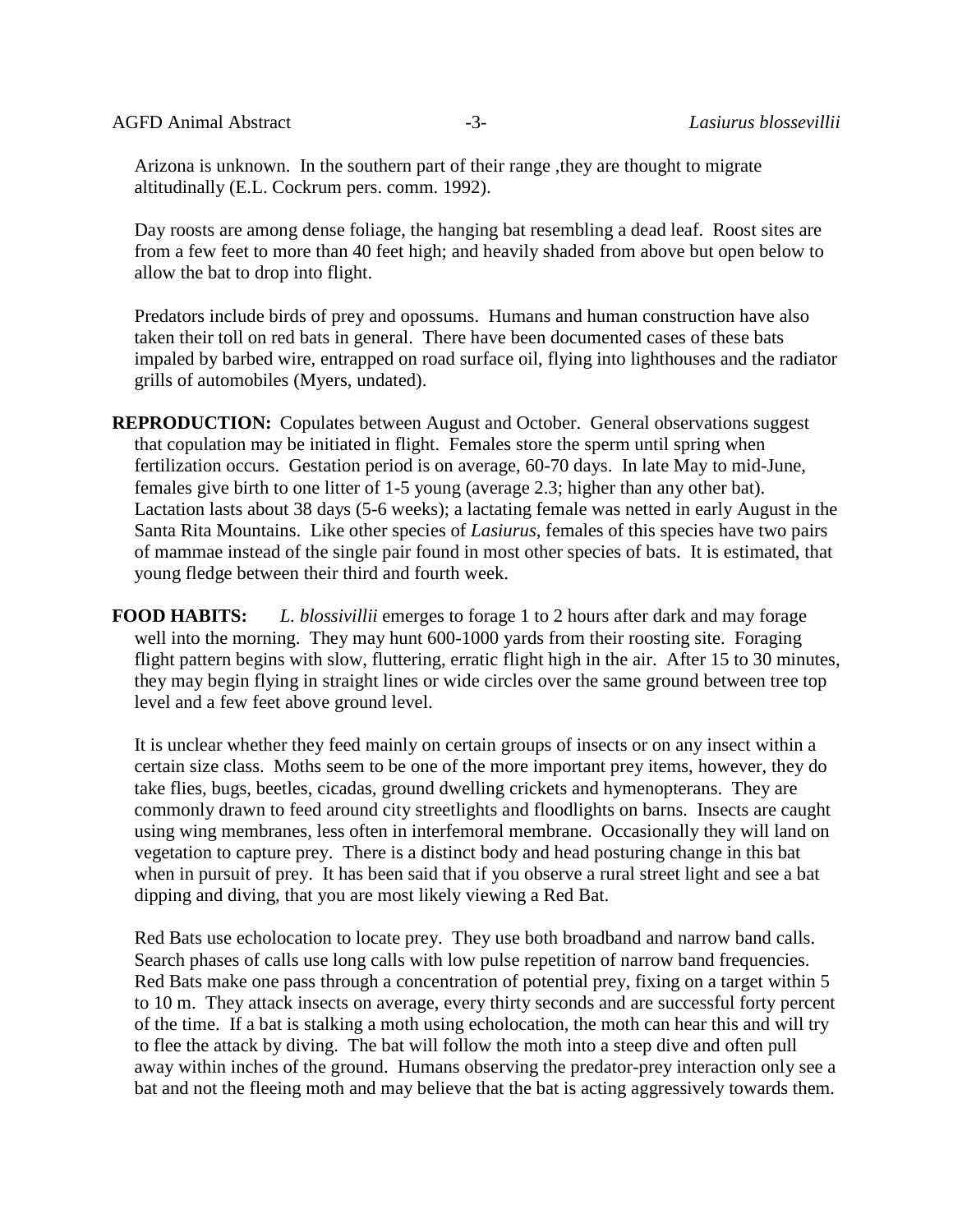Arizona is unknown. In the southern part of their range ,they are thought to migrate altitudinally (E.L. Cockrum pers. comm. 1992).

Day roosts are among dense foliage, the hanging bat resembling a dead leaf. Roost sites are from a few feet to more than 40 feet high; and heavily shaded from above but open below to allow the bat to drop into flight.

Predators include birds of prey and opossums. Humans and human construction have also taken their toll on red bats in general. There have been documented cases of these bats impaled by barbed wire, entrapped on road surface oil, flying into lighthouses and the radiator grills of automobiles (Myers, undated).

**REPRODUCTION:** Copulates between August and October. General observations suggest that copulation may be initiated in flight. Females store the sperm until spring when fertilization occurs. Gestation period is on average, 60-70 days. In late May to mid-June, females give birth to one litter of 1-5 young (average 2.3; higher than any other bat). Lactation lasts about 38 days (5-6 weeks); a lactating female was netted in early August in the Santa Rita Mountains. Like other species of *Lasiurus*, females of this species have two pairs of mammae instead of the single pair found in most other species of bats. It is estimated, that young fledge between their third and fourth week.

**FOOD HABITS:** *L. blossivillii* emerges to forage 1 to 2 hours after dark and may forage well into the morning. They may hunt 600-1000 yards from their roosting site. Foraging flight pattern begins with slow, fluttering, erratic flight high in the air. After 15 to 30 minutes, they may begin flying in straight lines or wide circles over the same ground between tree top level and a few feet above ground level.

It is unclear whether they feed mainly on certain groups of insects or on any insect within a certain size class. Moths seem to be one of the more important prey items, however, they do take flies, bugs, beetles, cicadas, ground dwelling crickets and hymenopterans. They are commonly drawn to feed around city streetlights and floodlights on barns. Insects are caught using wing membranes, less often in interfemoral membrane. Occasionally they will land on vegetation to capture prey. There is a distinct body and head posturing change in this bat when in pursuit of prey. It has been said that if you observe a rural street light and see a bat dipping and diving, that you are most likely viewing a Red Bat.

Red Bats use echolocation to locate prey. They use both broadband and narrow band calls. Search phases of calls use long calls with low pulse repetition of narrow band frequencies. Red Bats make one pass through a concentration of potential prey, fixing on a target within 5 to 10 m. They attack insects on average, every thirty seconds and are successful forty percent of the time. If a bat is stalking a moth using echolocation, the moth can hear this and will try to flee the attack by diving. The bat will follow the moth into a steep dive and often pull away within inches of the ground. Humans observing the predator-prey interaction only see a bat and not the fleeing moth and may believe that the bat is acting aggressively towards them.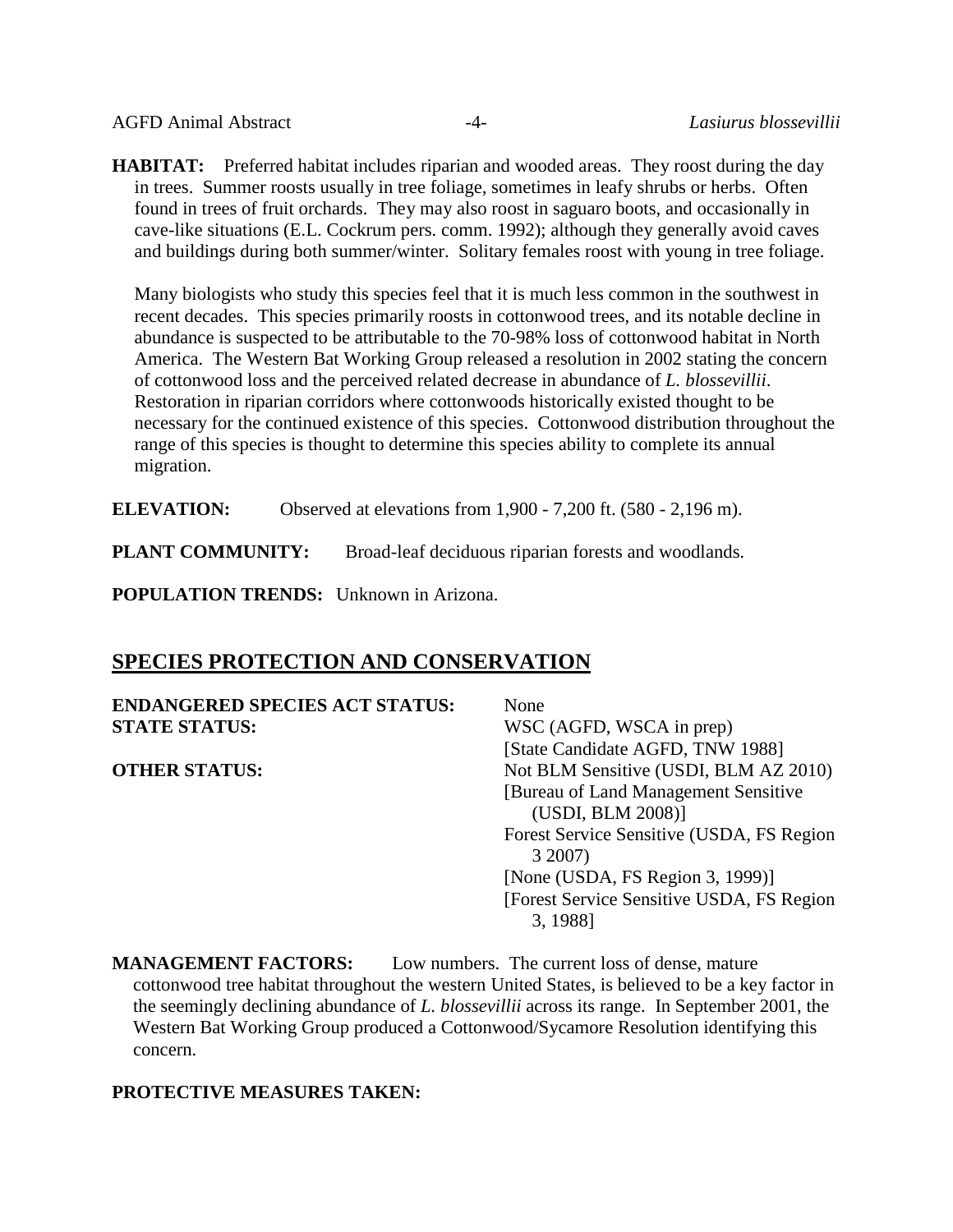AGFD Animal Abstract -4- *Lasiurus blossevillii*

**HABITAT:** Preferred habitat includes riparian and wooded areas. They roost during the day in trees. Summer roosts usually in tree foliage, sometimes in leafy shrubs or herbs. Often found in trees of fruit orchards. They may also roost in saguaro boots, and occasionally in cave-like situations (E.L. Cockrum pers. comm. 1992); although they generally avoid caves and buildings during both summer/winter. Solitary females roost with young in tree foliage.

Many biologists who study this species feel that it is much less common in the southwest in recent decades. This species primarily roosts in cottonwood trees, and its notable decline in abundance is suspected to be attributable to the 70-98% loss of cottonwood habitat in North America. The Western Bat Working Group released a resolution in 2002 stating the concern of cottonwood loss and the perceived related decrease in abundance of *L. blossevillii*. Restoration in riparian corridors where cottonwoods historically existed thought to be necessary for the continued existence of this species. Cottonwood distribution throughout the range of this species is thought to determine this species ability to complete its annual migration.

**ELEVATION:** Observed at elevations from 1,900 - 7,200 ft. (580 - 2,196 m).

**PLANT COMMUNITY:** Broad-leaf deciduous riparian forests and woodlands.

**POPULATION TRENDS:** Unknown in Arizona.

# **SPECIES PROTECTION AND CONSERVATION**

**ENDANGERED SPECIES ACT STATUS:** None **STATE STATUS:** WSC (AGFD, WSCA in prep)

[State Candidate AGFD, TNW 1988] **OTHER STATUS:** Not BLM Sensitive (USDI, BLM AZ 2010) [Bureau of Land Management Sensitive (USDI, BLM 2008)] Forest Service Sensitive (USDA, FS Region 3 2007) [None (USDA, FS Region 3, 1999)] [Forest Service Sensitive USDA, FS Region 3, 1988]

**MANAGEMENT FACTORS:** Low numbers. The current loss of dense, mature cottonwood tree habitat throughout the western United States, is believed to be a key factor in the seemingly declining abundance of *L. blossevillii* across its range. In September 2001, the Western Bat Working Group produced a Cottonwood/Sycamore Resolution identifying this concern.

#### **PROTECTIVE MEASURES TAKEN:**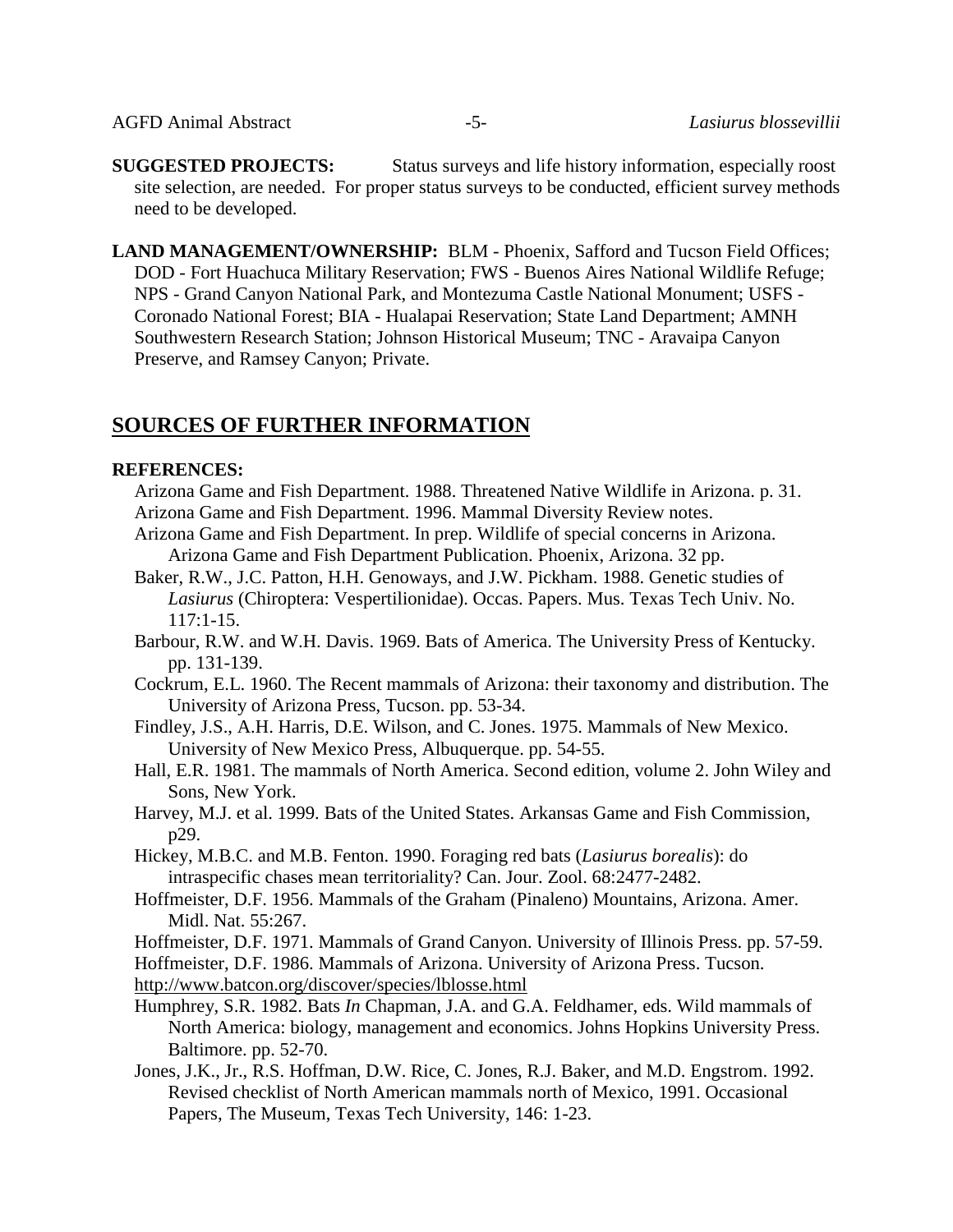**SUGGESTED PROJECTS:** Status surveys and life history information, especially roost site selection, are needed. For proper status surveys to be conducted, efficient survey methods need to be developed.

**LAND MANAGEMENT/OWNERSHIP:** BLM - Phoenix, Safford and Tucson Field Offices; DOD - Fort Huachuca Military Reservation; FWS - Buenos Aires National Wildlife Refuge; NPS - Grand Canyon National Park, and Montezuma Castle National Monument; USFS - Coronado National Forest; BIA - Hualapai Reservation; State Land Department; AMNH Southwestern Research Station; Johnson Historical Museum; TNC - Aravaipa Canyon Preserve, and Ramsey Canyon; Private.

# **SOURCES OF FURTHER INFORMATION**

### **REFERENCES:**

- Arizona Game and Fish Department. 1988. Threatened Native Wildlife in Arizona. p. 31. Arizona Game and Fish Department. 1996. Mammal Diversity Review notes.
- Arizona Game and Fish Department. In prep. Wildlife of special concerns in Arizona. Arizona Game and Fish Department Publication. Phoenix, Arizona. 32 pp.
- Baker, R.W., J.C. Patton, H.H. Genoways, and J.W. Pickham. 1988. Genetic studies of *Lasiurus* (Chiroptera: Vespertilionidae). Occas. Papers. Mus. Texas Tech Univ. No. 117:1-15.
- Barbour, R.W. and W.H. Davis. 1969. Bats of America. The University Press of Kentucky. pp. 131-139.
- Cockrum, E.L. 1960. The Recent mammals of Arizona: their taxonomy and distribution. The University of Arizona Press, Tucson. pp. 53-34.
- Findley, J.S., A.H. Harris, D.E. Wilson, and C. Jones. 1975. Mammals of New Mexico. University of New Mexico Press, Albuquerque. pp. 54-55.
- Hall, E.R. 1981. The mammals of North America. Second edition, volume 2. John Wiley and Sons, New York.
- Harvey, M.J. et al. 1999. Bats of the United States. Arkansas Game and Fish Commission, p29.
- Hickey, M.B.C. and M.B. Fenton. 1990. Foraging red bats (*Lasiurus borealis*): do intraspecific chases mean territoriality? Can. Jour. Zool. 68:2477-2482.
- Hoffmeister, D.F. 1956. Mammals of the Graham (Pinaleno) Mountains, Arizona. Amer. Midl. Nat. 55:267.
- Hoffmeister, D.F. 1971. Mammals of Grand Canyon. University of Illinois Press. pp. 57-59.
- Hoffmeister, D.F. 1986. Mammals of Arizona. University of Arizona Press. Tucson.
- <http://www.batcon.org/discover/species/lblosse.html>
- Humphrey, S.R. 1982. Bats *In* Chapman, J.A. and G.A. Feldhamer, eds. Wild mammals of North America: biology, management and economics. Johns Hopkins University Press. Baltimore. pp. 52-70.
- Jones, J.K., Jr., R.S. Hoffman, D.W. Rice, C. Jones, R.J. Baker, and M.D. Engstrom. 1992. Revised checklist of North American mammals north of Mexico, 1991. Occasional Papers, The Museum, Texas Tech University, 146: 1-23.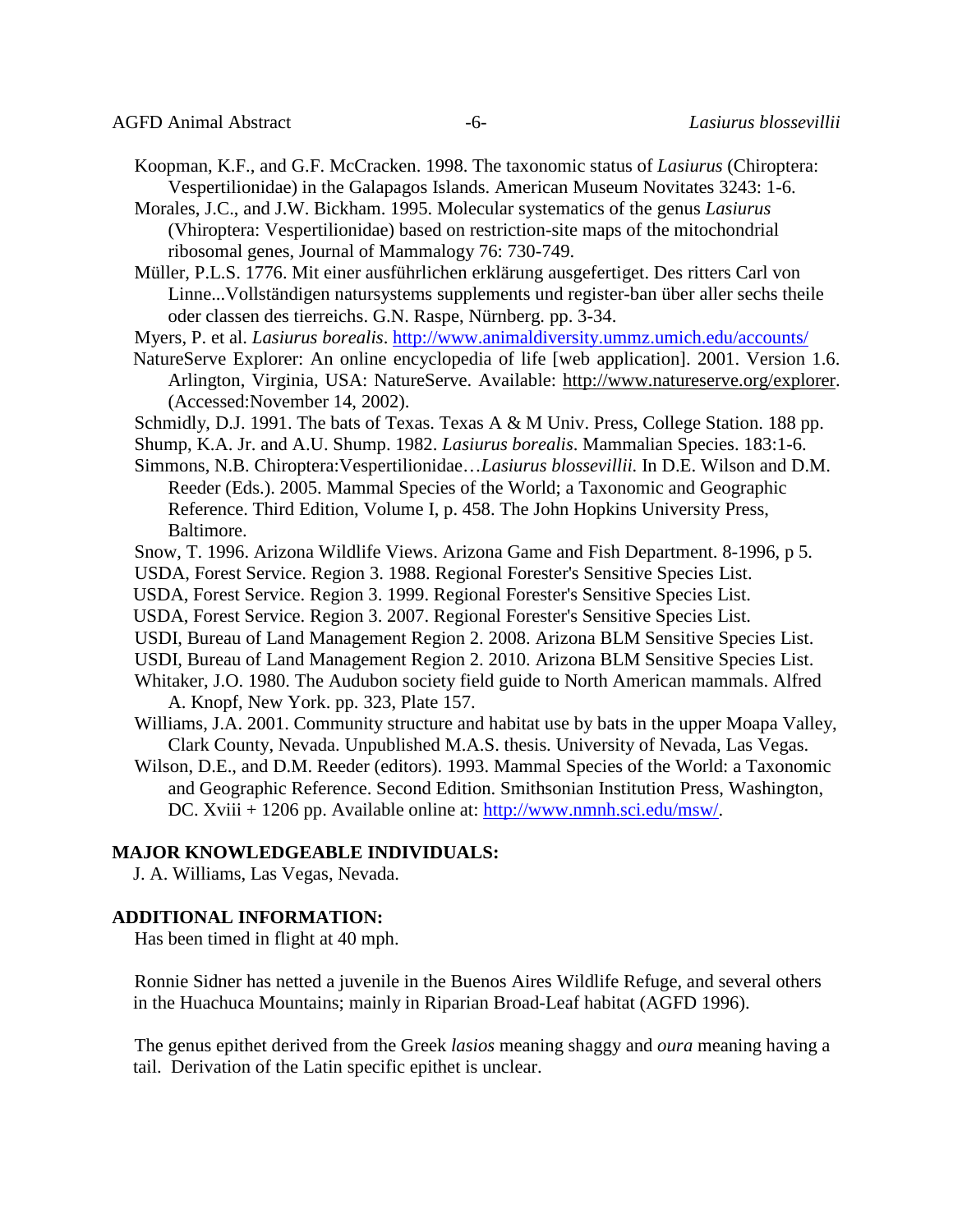- Koopman, K.F., and G.F. McCracken. 1998. The taxonomic status of *Lasiurus* (Chiroptera: Vespertilionidae) in the Galapagos Islands. American Museum Novitates 3243: 1-6.
- Morales, J.C., and J.W. Bickham. 1995. Molecular systematics of the genus *Lasiurus* (Vhiroptera: Vespertilionidae) based on restriction-site maps of the mitochondrial ribosomal genes, Journal of Mammalogy 76: 730-749.

Müller, P.L.S. 1776. Mit einer ausführlichen erklärung ausgefertiget. Des ritters Carl von Linne...Vollständigen natursystems supplements und register-ban über aller sechs theile oder classen des tierreichs. G.N. Raspe, Nürnberg. pp. 3-34.

- Myers, P. et al. *Lasiurus borealis*.<http://www.animaldiversity.ummz.umich.edu/accounts/>
- NatureServe Explorer: An online encyclopedia of life [web application]. 2001. Version 1.6. Arlington, Virginia, USA: NatureServe. Available: [http://www.natureserve.org/explorer.](http://www.natureserve.org/explorer) (Accessed:November 14, 2002).
- Schmidly, D.J. 1991. The bats of Texas. Texas A & M Univ. Press, College Station. 188 pp.
- Shump, K.A. Jr. and A.U. Shump. 1982. *Lasiurus borealis*. Mammalian Species. 183:1-6.
- Simmons, N.B. Chiroptera:Vespertilionidae…*Lasiurus blossevillii.* In D.E. Wilson and D.M. Reeder (Eds.). 2005. Mammal Species of the World; a Taxonomic and Geographic Reference. Third Edition, Volume I, p. 458. The John Hopkins University Press, Baltimore.
- Snow, T. 1996. Arizona Wildlife Views. Arizona Game and Fish Department. 8-1996, p 5.
- USDA, Forest Service. Region 3. 1988. Regional Forester's Sensitive Species List.
- USDA, Forest Service. Region 3. 1999. Regional Forester's Sensitive Species List.
- USDA, Forest Service. Region 3. 2007. Regional Forester's Sensitive Species List.
- USDI, Bureau of Land Management Region 2. 2008. Arizona BLM Sensitive Species List.
- USDI, Bureau of Land Management Region 2. 2010. Arizona BLM Sensitive Species List.
- Whitaker, J.O. 1980. The Audubon society field guide to North American mammals. Alfred A. Knopf, New York. pp. 323, Plate 157.
- Williams, J.A. 2001. Community structure and habitat use by bats in the upper Moapa Valley, Clark County, Nevada. Unpublished M.A.S. thesis. University of Nevada, Las Vegas.
- Wilson, D.E., and D.M. Reeder (editors). 1993. Mammal Species of the World: a Taxonomic and Geographic Reference. Second Edition. Smithsonian Institution Press, Washington, DC. Xviii + 1206 pp. Available online at: [http://www.nmnh.sci.edu/msw/.](http://www.nmnh.sci.edu/msw/)

#### **MAJOR KNOWLEDGEABLE INDIVIDUALS:**

J. A. Williams, Las Vegas, Nevada.

#### **ADDITIONAL INFORMATION:**

Has been timed in flight at 40 mph.

Ronnie Sidner has netted a juvenile in the Buenos Aires Wildlife Refuge, and several others in the Huachuca Mountains; mainly in Riparian Broad-Leaf habitat (AGFD 1996).

The genus epithet derived from the Greek *lasios* meaning shaggy and *oura* meaning having a tail. Derivation of the Latin specific epithet is unclear.